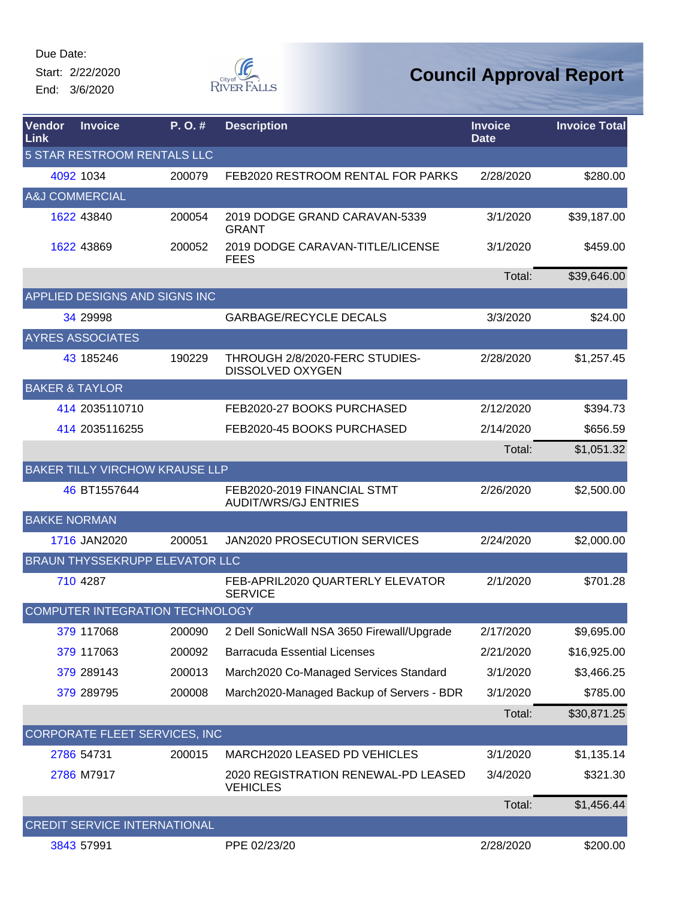Start: 2/22/2020 End: 3/6/2020



| Vendor<br>Link                     | <b>Invoice</b>                         | P.O.#  | <b>Description</b>                                         | <b>Invoice</b><br><b>Date</b> | <b>Invoice Total</b> |  |  |
|------------------------------------|----------------------------------------|--------|------------------------------------------------------------|-------------------------------|----------------------|--|--|
| <b>5 STAR RESTROOM RENTALS LLC</b> |                                        |        |                                                            |                               |                      |  |  |
|                                    | 4092 1034                              | 200079 | FEB2020 RESTROOM RENTAL FOR PARKS                          | 2/28/2020                     | \$280.00             |  |  |
|                                    | A&J COMMERCIAL                         |        |                                                            |                               |                      |  |  |
|                                    | 1622 43840                             | 200054 | 2019 DODGE GRAND CARAVAN-5339<br><b>GRANT</b>              | 3/1/2020                      | \$39,187.00          |  |  |
|                                    | 1622 43869                             | 200052 | 2019 DODGE CARAVAN-TITLE/LICENSE<br><b>FEES</b>            | 3/1/2020                      | \$459.00             |  |  |
|                                    |                                        |        |                                                            | Total:                        | \$39,646.00          |  |  |
|                                    | APPLIED DESIGNS AND SIGNS INC          |        |                                                            |                               |                      |  |  |
|                                    | 34 29998                               |        | <b>GARBAGE/RECYCLE DECALS</b>                              | 3/3/2020                      | \$24.00              |  |  |
|                                    | <b>AYRES ASSOCIATES</b>                |        |                                                            |                               |                      |  |  |
|                                    | 43 185246                              | 190229 | THROUGH 2/8/2020-FERC STUDIES-<br><b>DISSOLVED OXYGEN</b>  | 2/28/2020                     | \$1,257.45           |  |  |
|                                    | <b>BAKER &amp; TAYLOR</b>              |        |                                                            |                               |                      |  |  |
|                                    | 414 2035110710                         |        | FEB2020-27 BOOKS PURCHASED                                 | 2/12/2020                     | \$394.73             |  |  |
|                                    | 414 2035116255                         |        | FEB2020-45 BOOKS PURCHASED                                 | 2/14/2020                     | \$656.59             |  |  |
|                                    |                                        |        |                                                            | Total:                        | \$1,051.32           |  |  |
|                                    | <b>BAKER TILLY VIRCHOW KRAUSE LLP</b>  |        |                                                            |                               |                      |  |  |
|                                    | 46 BT1557644                           |        | FEB2020-2019 FINANCIAL STMT<br><b>AUDIT/WRS/GJ ENTRIES</b> | 2/26/2020                     | \$2,500.00           |  |  |
|                                    | <b>BAKKE NORMAN</b>                    |        |                                                            |                               |                      |  |  |
|                                    | 1716 JAN2020                           | 200051 | JAN2020 PROSECUTION SERVICES                               | 2/24/2020                     | \$2,000.00           |  |  |
|                                    | <b>BRAUN THYSSEKRUPP ELEVATOR LLC</b>  |        |                                                            |                               |                      |  |  |
|                                    | 710 4287                               |        | FEB-APRIL2020 QUARTERLY ELEVATOR<br><b>SERVICE</b>         | 2/1/2020                      | \$701.28             |  |  |
|                                    | <b>COMPUTER INTEGRATION TECHNOLOGY</b> |        |                                                            |                               |                      |  |  |
|                                    | 379 117068                             | 200090 | 2 Dell SonicWall NSA 3650 Firewall/Upgrade                 | 2/17/2020                     | \$9,695.00           |  |  |
|                                    | 379 117063                             | 200092 | <b>Barracuda Essential Licenses</b>                        | 2/21/2020                     | \$16,925.00          |  |  |
|                                    | 379 289143                             | 200013 | March2020 Co-Managed Services Standard                     | 3/1/2020                      | \$3,466.25           |  |  |
|                                    | 379 289795                             | 200008 | March2020-Managed Backup of Servers - BDR                  | 3/1/2020                      | \$785.00             |  |  |
|                                    |                                        |        |                                                            | Total:                        | \$30,871.25          |  |  |
|                                    | CORPORATE FLEET SERVICES, INC          |        |                                                            |                               |                      |  |  |
|                                    | 2786 54731                             | 200015 | MARCH2020 LEASED PD VEHICLES                               | 3/1/2020                      | \$1,135.14           |  |  |
|                                    | 2786 M7917                             |        | 2020 REGISTRATION RENEWAL-PD LEASED<br><b>VEHICLES</b>     | 3/4/2020                      | \$321.30             |  |  |
|                                    |                                        |        |                                                            | Total:                        | \$1,456.44           |  |  |
|                                    | <b>CREDIT SERVICE INTERNATIONAL</b>    |        |                                                            |                               |                      |  |  |
|                                    | 3843 57991                             |        | PPE 02/23/20                                               | 2/28/2020                     | \$200.00             |  |  |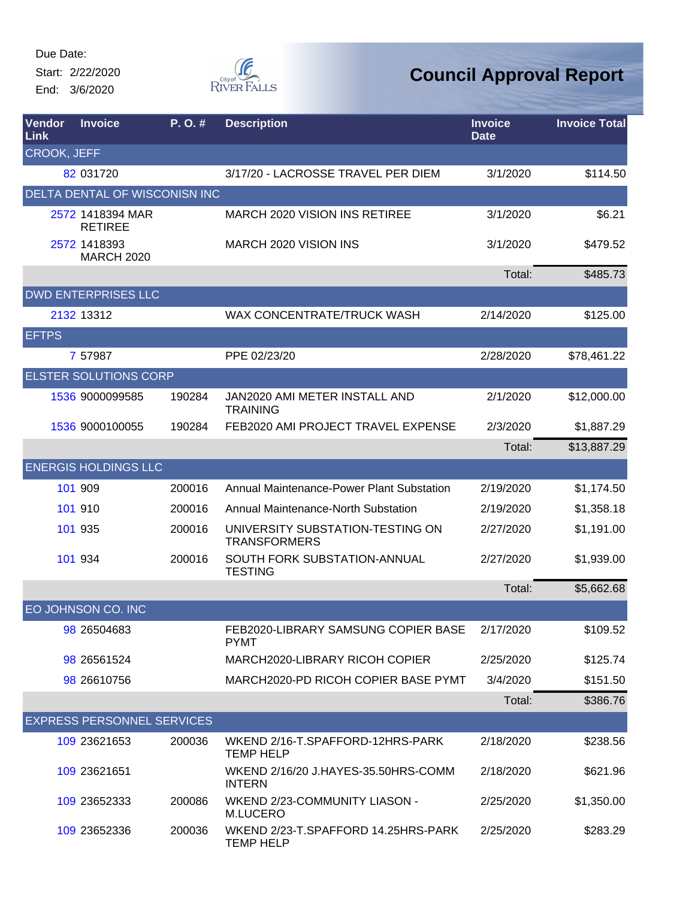Start: 2/22/2020 End: 3/6/2020



| Vendor<br><b>Link</b> | <b>Invoice</b>                       | $P. O.$ # | <b>Description</b>                                      | <b>Invoice</b><br><b>Date</b> | <b>Invoice Total</b> |
|-----------------------|--------------------------------------|-----------|---------------------------------------------------------|-------------------------------|----------------------|
| <b>CROOK, JEFF</b>    |                                      |           |                                                         |                               |                      |
|                       | 82 031720                            |           | 3/17/20 - LACROSSE TRAVEL PER DIEM                      | 3/1/2020                      | \$114.50             |
|                       | <b>DELTA DENTAL OF WISCONISN INC</b> |           |                                                         |                               |                      |
|                       | 2572 1418394 MAR<br><b>RETIREE</b>   |           | <b>MARCH 2020 VISION INS RETIREE</b>                    | 3/1/2020                      | \$6.21               |
|                       | 2572 1418393<br><b>MARCH 2020</b>    |           | MARCH 2020 VISION INS                                   | 3/1/2020                      | \$479.52             |
|                       |                                      |           |                                                         | Total:                        | \$485.73             |
|                       | <b>DWD ENTERPRISES LLC</b>           |           |                                                         |                               |                      |
|                       | 2132 13312                           |           | WAX CONCENTRATE/TRUCK WASH                              | 2/14/2020                     | \$125.00             |
| <b>EFTPS</b>          |                                      |           |                                                         |                               |                      |
|                       | 7 57987                              |           | PPE 02/23/20                                            | 2/28/2020                     | \$78,461.22          |
|                       | <b>ELSTER SOLUTIONS CORP</b>         |           |                                                         |                               |                      |
|                       | 1536 9000099585                      | 190284    | JAN2020 AMI METER INSTALL AND<br><b>TRAINING</b>        | 2/1/2020                      | \$12,000.00          |
|                       | 1536 9000100055                      | 190284    | FEB2020 AMI PROJECT TRAVEL EXPENSE                      | 2/3/2020                      | \$1,887.29           |
|                       |                                      |           |                                                         | Total:                        | \$13,887.29          |
|                       | <b>ENERGIS HOLDINGS LLC</b>          |           |                                                         |                               |                      |
|                       | 101 909                              | 200016    | Annual Maintenance-Power Plant Substation               | 2/19/2020                     | \$1,174.50           |
|                       | 101 910                              | 200016    | Annual Maintenance-North Substation                     | 2/19/2020                     | \$1,358.18           |
|                       | 101 935                              | 200016    | UNIVERSITY SUBSTATION-TESTING ON<br><b>TRANSFORMERS</b> | 2/27/2020                     | \$1,191.00           |
|                       | 101 934                              | 200016    | SOUTH FORK SUBSTATION-ANNUAL<br><b>TESTING</b>          | 2/27/2020                     | \$1,939.00           |
|                       |                                      |           |                                                         | Total:                        | \$5,662.68           |
|                       | EO JOHNSON CO. INC                   |           |                                                         |                               |                      |
|                       | 98 26504683                          |           | FEB2020-LIBRARY SAMSUNG COPIER BASE<br><b>PYMT</b>      | 2/17/2020                     | \$109.52             |
|                       | 98 26561524                          |           | MARCH2020-LIBRARY RICOH COPIER                          | 2/25/2020                     | \$125.74             |
|                       | 98 26610756                          |           | MARCH2020-PD RICOH COPIER BASE PYMT                     | 3/4/2020                      | \$151.50             |
|                       |                                      |           |                                                         | Total:                        | \$386.76             |
|                       | <b>EXPRESS PERSONNEL SERVICES</b>    |           |                                                         |                               |                      |
|                       | 109 23621653                         | 200036    | WKEND 2/16-T.SPAFFORD-12HRS-PARK<br><b>TEMP HELP</b>    | 2/18/2020                     | \$238.56             |
|                       | 109 23621651                         |           | WKEND 2/16/20 J.HAYES-35.50HRS-COMM<br><b>INTERN</b>    | 2/18/2020                     | \$621.96             |
|                       | 109 23652333                         | 200086    | WKEND 2/23-COMMUNITY LIASON -<br>M.LUCERO               | 2/25/2020                     | \$1,350.00           |
|                       | 109 23652336                         | 200036    | WKEND 2/23-T.SPAFFORD 14.25HRS-PARK<br><b>TEMP HELP</b> | 2/25/2020                     | \$283.29             |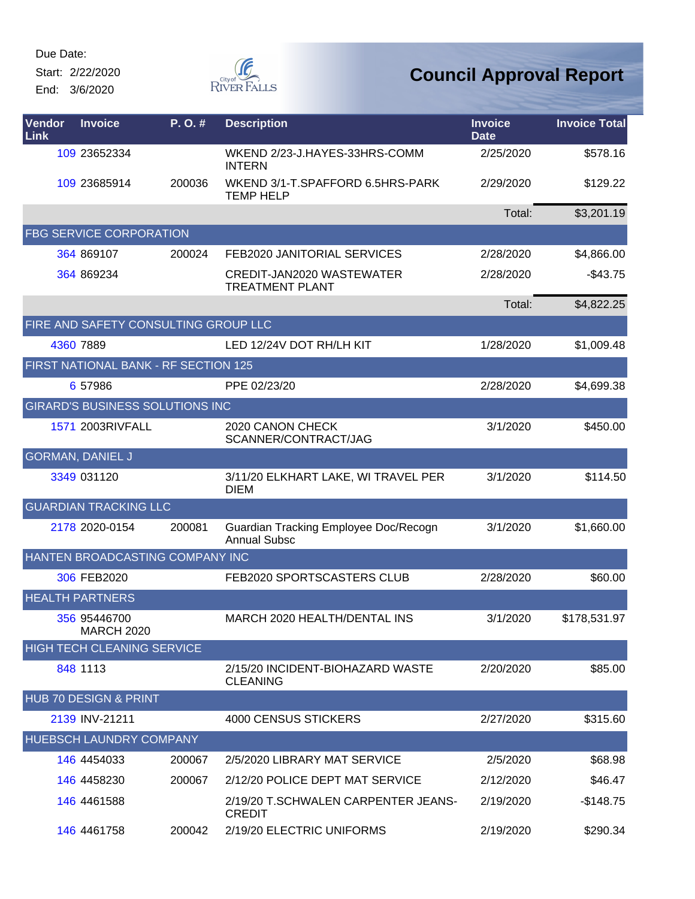Start: 2/22/2020 End: 3/6/2020



| Vendor<br>Link | <b>Invoice</b>                         | P.O.#  | <b>Description</b>                                           | <b>Invoice</b><br><b>Date</b> | <b>Invoice Total</b> |
|----------------|----------------------------------------|--------|--------------------------------------------------------------|-------------------------------|----------------------|
|                | 109 23652334                           |        | WKEND 2/23-J.HAYES-33HRS-COMM<br><b>INTERN</b>               | 2/25/2020                     | \$578.16             |
|                | 109 23685914                           | 200036 | WKEND 3/1-T.SPAFFORD 6.5HRS-PARK<br><b>TEMP HELP</b>         | 2/29/2020                     | \$129.22             |
|                |                                        |        |                                                              | Total:                        | \$3,201.19           |
|                | <b>FBG SERVICE CORPORATION</b>         |        |                                                              |                               |                      |
|                | 364 869107                             | 200024 | FEB2020 JANITORIAL SERVICES                                  | 2/28/2020                     | \$4,866.00           |
|                | 364 869234                             |        | CREDIT-JAN2020 WASTEWATER<br><b>TREATMENT PLANT</b>          | 2/28/2020                     | $-$43.75$            |
|                |                                        |        |                                                              | Total:                        | \$4,822.25           |
|                | FIRE AND SAFETY CONSULTING GROUP LLC   |        |                                                              |                               |                      |
|                | 4360 7889                              |        | LED 12/24V DOT RH/LH KIT                                     | 1/28/2020                     | \$1,009.48           |
|                | FIRST NATIONAL BANK - RF SECTION 125   |        |                                                              |                               |                      |
|                | 6 57986                                |        | PPE 02/23/20                                                 | 2/28/2020                     | \$4,699.38           |
|                | <b>GIRARD'S BUSINESS SOLUTIONS INC</b> |        |                                                              |                               |                      |
|                | 1571 2003RIVFALL                       |        | 2020 CANON CHECK<br>SCANNER/CONTRACT/JAG                     | 3/1/2020                      | \$450.00             |
|                | <b>GORMAN, DANIEL J</b>                |        |                                                              |                               |                      |
|                | 3349 031120                            |        | 3/11/20 ELKHART LAKE, WI TRAVEL PER<br><b>DIEM</b>           | 3/1/2020                      | \$114.50             |
|                | <b>GUARDIAN TRACKING LLC</b>           |        |                                                              |                               |                      |
|                | 2178 2020-0154                         | 200081 | Guardian Tracking Employee Doc/Recogn<br><b>Annual Subsc</b> | 3/1/2020                      | \$1,660.00           |
|                | HANTEN BROADCASTING COMPANY INC        |        |                                                              |                               |                      |
|                | 306 FEB2020                            |        | FEB2020 SPORTSCASTERS CLUB                                   | 2/28/2020                     | \$60.00              |
|                | <b>HEALTH PARTNERS</b>                 |        |                                                              |                               |                      |
|                | 356 95446700<br><b>MARCH 2020</b>      |        | MARCH 2020 HEALTH/DENTAL INS                                 | 3/1/2020                      | \$178,531.97         |
|                | <b>HIGH TECH CLEANING SERVICE</b>      |        |                                                              |                               |                      |
|                | 848 1113                               |        | 2/15/20 INCIDENT-BIOHAZARD WASTE<br><b>CLEANING</b>          | 2/20/2020                     | \$85.00              |
|                | HUB 70 DESIGN & PRINT                  |        |                                                              |                               |                      |
|                | 2139 INV-21211                         |        | 4000 CENSUS STICKERS                                         | 2/27/2020                     | \$315.60             |
|                | HUEBSCH LAUNDRY COMPANY                |        |                                                              |                               |                      |
|                | 146 4454033                            | 200067 | 2/5/2020 LIBRARY MAT SERVICE                                 | 2/5/2020                      | \$68.98              |
|                | 146 4458230                            | 200067 | 2/12/20 POLICE DEPT MAT SERVICE                              | 2/12/2020                     | \$46.47              |
|                | 146 4461588                            |        | 2/19/20 T.SCHWALEN CARPENTER JEANS-<br><b>CREDIT</b>         | 2/19/2020                     | $-$148.75$           |
|                | 146 4461758                            | 200042 | 2/19/20 ELECTRIC UNIFORMS                                    | 2/19/2020                     | \$290.34             |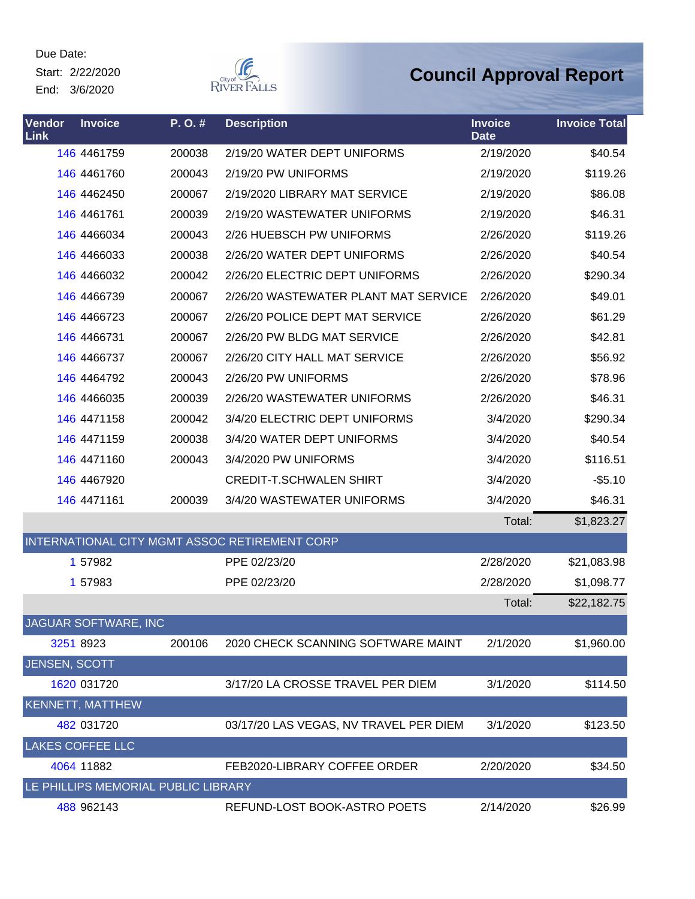Start: 2/22/2020 End: 3/6/2020



| Vendor<br>Link | <b>Invoice</b>                      | P.O.#  | <b>Description</b>                            | <b>Invoice</b><br><b>Date</b> | <b>Invoice Total</b> |
|----------------|-------------------------------------|--------|-----------------------------------------------|-------------------------------|----------------------|
|                | 146 4461759                         | 200038 | 2/19/20 WATER DEPT UNIFORMS                   | 2/19/2020                     | \$40.54              |
|                | 146 4461760                         | 200043 | 2/19/20 PW UNIFORMS                           | 2/19/2020                     | \$119.26             |
|                | 146 4462450                         | 200067 | 2/19/2020 LIBRARY MAT SERVICE                 | 2/19/2020                     | \$86.08              |
|                | 146 4461761                         | 200039 | 2/19/20 WASTEWATER UNIFORMS                   | 2/19/2020                     | \$46.31              |
|                | 146 4466034                         | 200043 | 2/26 HUEBSCH PW UNIFORMS                      | 2/26/2020                     | \$119.26             |
|                | 146 4466033                         | 200038 | 2/26/20 WATER DEPT UNIFORMS                   | 2/26/2020                     | \$40.54              |
|                | 146 4466032                         | 200042 | 2/26/20 ELECTRIC DEPT UNIFORMS                | 2/26/2020                     | \$290.34             |
|                | 146 4466739                         | 200067 | 2/26/20 WASTEWATER PLANT MAT SERVICE          | 2/26/2020                     | \$49.01              |
|                | 146 4466723                         | 200067 | 2/26/20 POLICE DEPT MAT SERVICE               | 2/26/2020                     | \$61.29              |
|                | 146 4466731                         | 200067 | 2/26/20 PW BLDG MAT SERVICE                   | 2/26/2020                     | \$42.81              |
|                | 146 4466737                         | 200067 | 2/26/20 CITY HALL MAT SERVICE                 | 2/26/2020                     | \$56.92              |
|                | 146 4464792                         | 200043 | 2/26/20 PW UNIFORMS                           | 2/26/2020                     | \$78.96              |
|                | 146 4466035                         | 200039 | 2/26/20 WASTEWATER UNIFORMS                   | 2/26/2020                     | \$46.31              |
|                | 146 4471158                         | 200042 | 3/4/20 ELECTRIC DEPT UNIFORMS                 | 3/4/2020                      | \$290.34             |
|                | 146 4471159                         | 200038 | 3/4/20 WATER DEPT UNIFORMS                    | 3/4/2020                      | \$40.54              |
|                | 146 4471160                         | 200043 | 3/4/2020 PW UNIFORMS                          | 3/4/2020                      | \$116.51             |
|                | 146 4467920                         |        | <b>CREDIT-T.SCHWALEN SHIRT</b>                | 3/4/2020                      | $-$5.10$             |
|                | 146 4471161                         | 200039 | 3/4/20 WASTEWATER UNIFORMS                    | 3/4/2020                      | \$46.31              |
|                |                                     |        |                                               | Total:                        | \$1,823.27           |
|                |                                     |        | INTERNATIONAL CITY MGMT ASSOC RETIREMENT CORP |                               |                      |
|                | 1 57982                             |        | PPE 02/23/20                                  | 2/28/2020                     | \$21,083.98          |
|                | 1 57983                             |        | PPE 02/23/20                                  | 2/28/2020                     | \$1,098.77           |
|                |                                     |        |                                               | Total:                        | \$22,182.75          |
|                | JAGUAR SOFTWARE, INC                |        |                                               |                               |                      |
|                | 3251 8923                           | 200106 | 2020 CHECK SCANNING SOFTWARE MAINT            | 2/1/2020                      | \$1,960.00           |
| JENSEN, SCOTT  |                                     |        |                                               |                               |                      |
|                | 1620 031720                         |        | 3/17/20 LA CROSSE TRAVEL PER DIEM             | 3/1/2020                      | \$114.50             |
|                | <b>KENNETT, MATTHEW</b>             |        |                                               |                               |                      |
|                | 482 031720                          |        | 03/17/20 LAS VEGAS, NV TRAVEL PER DIEM        | 3/1/2020                      | \$123.50             |
|                | <b>LAKES COFFEE LLC</b>             |        |                                               |                               |                      |
|                | 4064 11882                          |        | FEB2020-LIBRARY COFFEE ORDER                  | 2/20/2020                     | \$34.50              |
|                | LE PHILLIPS MEMORIAL PUBLIC LIBRARY |        |                                               |                               |                      |
|                | 488 962143                          |        | REFUND-LOST BOOK-ASTRO POETS                  | 2/14/2020                     | \$26.99              |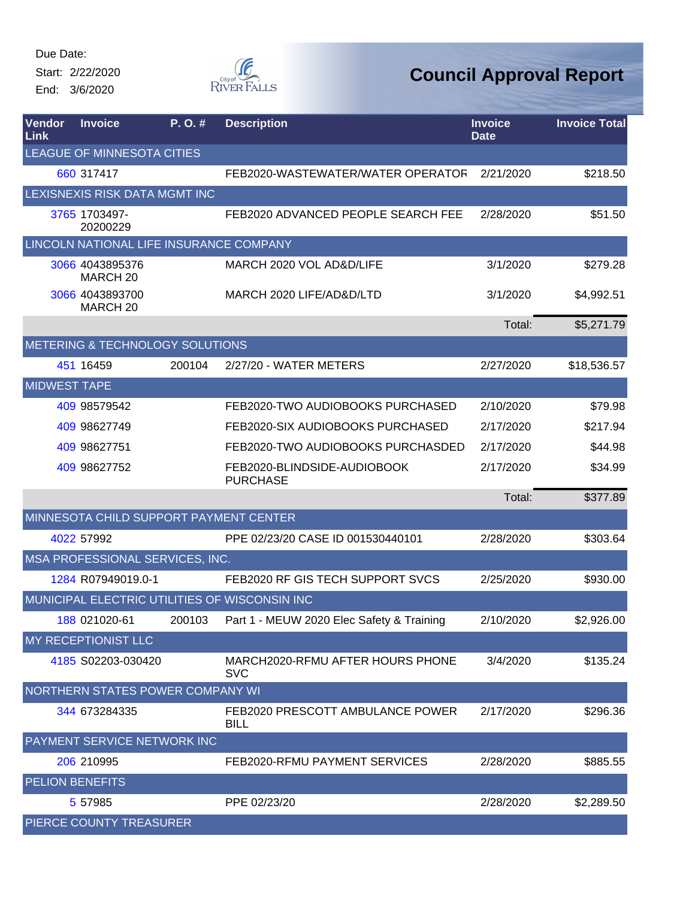Start: 2/22/2020 End: 3/6/2020



| Vendor<br><b>Link</b>  | <b>Invoice</b>                          | P.O.#  | <b>Description</b>                               | <b>Invoice</b><br><b>Date</b> | <b>Invoice Total</b> |
|------------------------|-----------------------------------------|--------|--------------------------------------------------|-------------------------------|----------------------|
|                        | LEAGUE OF MINNESOTA CITIES              |        |                                                  |                               |                      |
|                        | 660 317417                              |        | FEB2020-WASTEWATER/WATER OPERATOR                | 2/21/2020                     | \$218.50             |
|                        | LEXISNEXIS RISK DATA MGMT INC           |        |                                                  |                               |                      |
|                        | 3765 1703497-<br>20200229               |        | FEB2020 ADVANCED PEOPLE SEARCH FEE               | 2/28/2020                     | \$51.50              |
|                        | LINCOLN NATIONAL LIFE INSURANCE COMPANY |        |                                                  |                               |                      |
|                        | 3066 4043895376<br>MARCH <sub>20</sub>  |        | MARCH 2020 VOL AD&D/LIFE                         | 3/1/2020                      | \$279.28             |
|                        | 3066 4043893700<br>MARCH <sub>20</sub>  |        | MARCH 2020 LIFE/AD&D/LTD                         | 3/1/2020                      | \$4,992.51           |
|                        |                                         |        |                                                  | Total:                        | \$5,271.79           |
|                        | METERING & TECHNOLOGY SOLUTIONS         |        |                                                  |                               |                      |
|                        | 451 16459                               | 200104 | 2/27/20 - WATER METERS                           | 2/27/2020                     | \$18,536.57          |
| <b>MIDWEST TAPE</b>    |                                         |        |                                                  |                               |                      |
|                        | 409 98579542                            |        | FEB2020-TWO AUDIOBOOKS PURCHASED                 | 2/10/2020                     | \$79.98              |
|                        | 409 98627749                            |        | FEB2020-SIX AUDIOBOOKS PURCHASED                 | 2/17/2020                     | \$217.94             |
|                        | 409 98627751                            |        | FEB2020-TWO AUDIOBOOKS PURCHASDED                | 2/17/2020                     | \$44.98              |
|                        | 409 98627752                            |        | FEB2020-BLINDSIDE-AUDIOBOOK<br><b>PURCHASE</b>   | 2/17/2020                     | \$34.99              |
|                        |                                         |        |                                                  | Total:                        | \$377.89             |
|                        | MINNESOTA CHILD SUPPORT PAYMENT CENTER  |        |                                                  |                               |                      |
|                        | 4022 57992                              |        | PPE 02/23/20 CASE ID 001530440101                | 2/28/2020                     | \$303.64             |
|                        | MSA PROFESSIONAL SERVICES, INC.         |        |                                                  |                               |                      |
|                        | 1284 R07949019.0-1                      |        | FEB2020 RF GIS TECH SUPPORT SVCS                 | 2/25/2020                     | \$930.00             |
|                        |                                         |        | MUNICIPAL ELECTRIC UTILITIES OF WISCONSIN INC    |                               |                      |
|                        | 188 021020-61                           |        | 200103 Part 1 - MEUW 2020 Elec Safety & Training | 2/10/2020                     | \$2,926.00           |
|                        | MY RECEPTIONIST LLC                     |        |                                                  |                               |                      |
|                        | 4185 S02203-030420                      |        | MARCH2020-RFMU AFTER HOURS PHONE<br><b>SVC</b>   | 3/4/2020                      | \$135.24             |
|                        | NORTHERN STATES POWER COMPANY WI        |        |                                                  |                               |                      |
|                        | 344 673284335                           |        | FEB2020 PRESCOTT AMBULANCE POWER<br><b>BILL</b>  | 2/17/2020                     | \$296.36             |
|                        | PAYMENT SERVICE NETWORK INC             |        |                                                  |                               |                      |
|                        | 206 210995                              |        | FEB2020-RFMU PAYMENT SERVICES                    | 2/28/2020                     | \$885.55             |
| <b>PELION BENEFITS</b> |                                         |        |                                                  |                               |                      |
|                        | 5 57985                                 |        | PPE 02/23/20                                     | 2/28/2020                     | \$2,289.50           |
|                        | PIERCE COUNTY TREASURER                 |        |                                                  |                               |                      |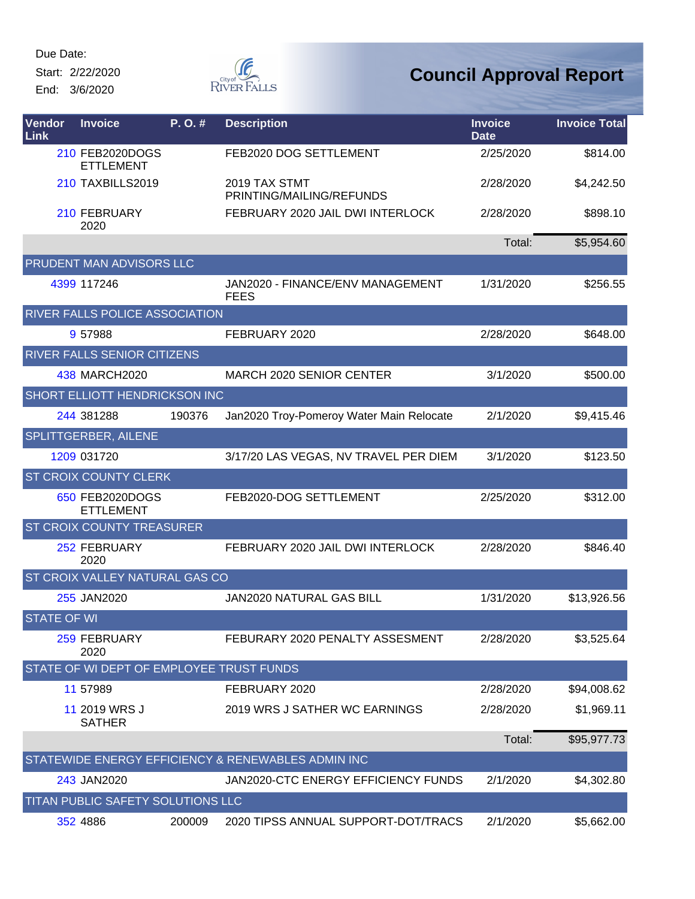Start: 2/22/2020 End: 3/6/2020



| <b>Vendor</b><br>Link | <b>Invoice</b>                           | P.O.#  | <b>Description</b>                                 | <b>Invoice</b><br><b>Date</b> | <b>Invoice Total</b> |
|-----------------------|------------------------------------------|--------|----------------------------------------------------|-------------------------------|----------------------|
|                       | 210 FEB2020DOGS<br><b>ETTLEMENT</b>      |        | FEB2020 DOG SETTLEMENT                             | 2/25/2020                     | \$814.00             |
|                       | <b>210 TAXBILLS2019</b>                  |        | 2019 TAX STMT<br>PRINTING/MAILING/REFUNDS          | 2/28/2020                     | \$4,242.50           |
|                       | 210 FEBRUARY<br>2020                     |        | FEBRUARY 2020 JAIL DWI INTERLOCK                   | 2/28/2020                     | \$898.10             |
|                       |                                          |        |                                                    | Total:                        | \$5,954.60           |
|                       | <b>PRUDENT MAN ADVISORS LLC</b>          |        |                                                    |                               |                      |
|                       | 4399 117246                              |        | JAN2020 - FINANCE/ENV MANAGEMENT<br><b>FEES</b>    | 1/31/2020                     | \$256.55             |
|                       | RIVER FALLS POLICE ASSOCIATION           |        |                                                    |                               |                      |
|                       | 9 57988                                  |        | FEBRUARY 2020                                      | 2/28/2020                     | \$648.00             |
|                       | RIVER FALLS SENIOR CITIZENS              |        |                                                    |                               |                      |
|                       | 438 MARCH2020                            |        | MARCH 2020 SENIOR CENTER                           | 3/1/2020                      | \$500.00             |
|                       | <b>SHORT ELLIOTT HENDRICKSON INC</b>     |        |                                                    |                               |                      |
|                       | 244 381288                               | 190376 | Jan2020 Troy-Pomeroy Water Main Relocate           | 2/1/2020                      | \$9,415.46           |
|                       | <b>SPLITTGERBER, AILENE</b>              |        |                                                    |                               |                      |
|                       | 1209 031720                              |        | 3/17/20 LAS VEGAS, NV TRAVEL PER DIEM              | 3/1/2020                      | \$123.50             |
|                       | <b>ST CROIX COUNTY CLERK</b>             |        |                                                    |                               |                      |
|                       | 650 FEB2020DOGS<br><b>ETTLEMENT</b>      |        | FEB2020-DOG SETTLEMENT                             | 2/25/2020                     | \$312.00             |
|                       | ST CROIX COUNTY TREASURER                |        |                                                    |                               |                      |
|                       | 252 FEBRUARY<br>2020                     |        | FEBRUARY 2020 JAIL DWI INTERLOCK                   | 2/28/2020                     | \$846.40             |
|                       | ST CROIX VALLEY NATURAL GAS CO           |        |                                                    |                               |                      |
|                       | 255 JAN2020                              |        | <b>JAN2020 NATURAL GAS BILL</b>                    | 1/31/2020                     | \$13,926.56          |
| <b>STATE OF WI</b>    |                                          |        |                                                    |                               |                      |
|                       | 259 FEBRUARY<br>2020                     |        | FEBURARY 2020 PENALTY ASSESMENT                    | 2/28/2020                     | \$3,525.64           |
|                       | STATE OF WI DEPT OF EMPLOYEE TRUST FUNDS |        |                                                    |                               |                      |
|                       | 11 57989                                 |        | FEBRUARY 2020                                      | 2/28/2020                     | \$94,008.62          |
|                       | 11 2019 WRS J<br><b>SATHER</b>           |        | 2019 WRS J SATHER WC EARNINGS                      | 2/28/2020                     | \$1,969.11           |
|                       |                                          |        |                                                    | Total:                        | \$95,977.73          |
|                       |                                          |        | STATEWIDE ENERGY EFFICIENCY & RENEWABLES ADMIN INC |                               |                      |
|                       | 243 JAN2020                              |        | JAN2020-CTC ENERGY EFFICIENCY FUNDS                | 2/1/2020                      | \$4,302.80           |
|                       | TITAN PUBLIC SAFETY SOLUTIONS LLC        |        |                                                    |                               |                      |
|                       | 352 4886                                 | 200009 | 2020 TIPSS ANNUAL SUPPORT-DOT/TRACS                | 2/1/2020                      | \$5,662.00           |